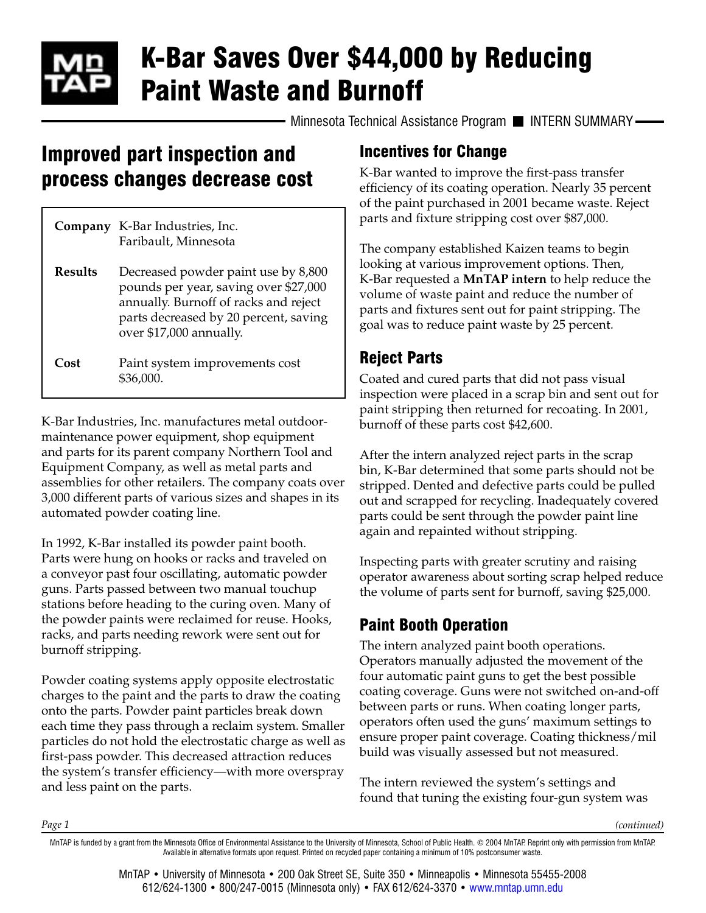# K-Bar Saves Over \$44,000 by Reducing Paint Waste and Burnoff

Minnesota Technical Assistance Program II INTERN SUMMARY-

## Improved part inspection and process changes decrease cost

|                | <b>Company</b> K-Bar Industries, Inc.<br>Faribault, Minnesota                                                                                                                             |
|----------------|-------------------------------------------------------------------------------------------------------------------------------------------------------------------------------------------|
| <b>Results</b> | Decreased powder paint use by 8,800<br>pounds per year, saving over \$27,000<br>annually. Burnoff of racks and reject<br>parts decreased by 20 percent, saving<br>over \$17,000 annually. |
| Cost           | Paint system improvements cost<br>\$36.000.                                                                                                                                               |

K-Bar Industries, Inc. manufactures metal outdoormaintenance power equipment, shop equipment and parts for its parent company Northern Tool and Equipment Company, as well as metal parts and assemblies for other retailers. The company coats over 3,000 different parts of various sizes and shapes in its automated powder coating line.

In 1992, K-Bar installed its powder paint booth. Parts were hung on hooks or racks and traveled on a conveyor past four oscillating, automatic powder guns. Parts passed between two manual touchup stations before heading to the curing oven. Many of the powder paints were reclaimed for reuse. Hooks, racks, and parts needing rework were sent out for burnoff stripping.

Powder coating systems apply opposite electrostatic charges to the paint and the parts to draw the coating onto the parts. Powder paint particles break down each time they pass through a reclaim system. Smaller particles do not hold the electrostatic charge as well as first-pass powder. This decreased attraction reduces the system's transfer efficiency—with more overspray and less paint on the parts.

*Page 1*

#### Incentives for Change

K-Bar wanted to improve the first-pass transfer efficiency of its coating operation. Nearly 35 percent of the paint purchased in 2001 became waste. Reject parts and fixture stripping cost over \$87,000.

The company established Kaizen teams to begin looking at various improvement options. Then, K-Bar requested a **MnTAP intern** to help reduce the volume of waste paint and reduce the number of parts and fixtures sent out for paint stripping. The goal was to reduce paint waste by 25 percent.

### Reject Parts

Coated and cured parts that did not pass visual inspection were placed in a scrap bin and sent out for paint stripping then returned for recoating. In 2001, burnoff of these parts cost \$42,600.

After the intern analyzed reject parts in the scrap bin, K-Bar determined that some parts should not be stripped. Dented and defective parts could be pulled out and scrapped for recycling. Inadequately covered parts could be sent through the powder paint line again and repainted without stripping.

Inspecting parts with greater scrutiny and raising operator awareness about sorting scrap helped reduce the volume of parts sent for burnoff, saving \$25,000.

### Paint Booth Operation

The intern analyzed paint booth operations. Operators manually adjusted the movement of the four automatic paint guns to get the best possible coating coverage. Guns were not switched on-and-off between parts or runs. When coating longer parts, operators often used the guns' maximum settings to ensure proper paint coverage. Coating thickness/mil build was visually assessed but not measured.

The intern reviewed the system's settings and found that tuning the existing four-gun system was

*(continued)*

MnTAP • University of Minnesota • 200 Oak Street SE, Suite 350 • Minneapolis • Minnesota 55455-2008 612/624-1300 • 800/247-0015 (Minnesota only) • FAX 612/624-3370 • [www.mntap.umn.edu](http://www.mntap.umn.edu)

MnTAP is funded by a grant from the Minnesota Office of Environmental Assistance to the University of Minnesota, School of Public Health. © 2004 MnTAP. Reprint only with permission from MnTAP. Available in alternative formats upon request. Printed on recycled paper containing a minimum of 10% postconsumer waste.